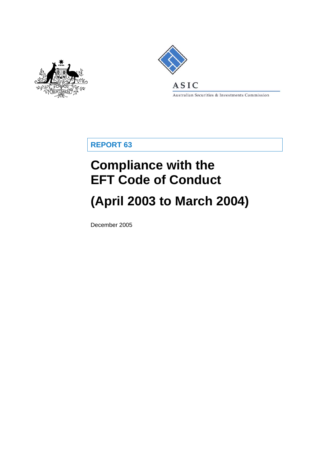



Australian Securities & Investments Commission

**REPORT 63** 

# **Compliance with the EFT Code of Conduct**

# **(April 2003 to March 2004)**

December 2005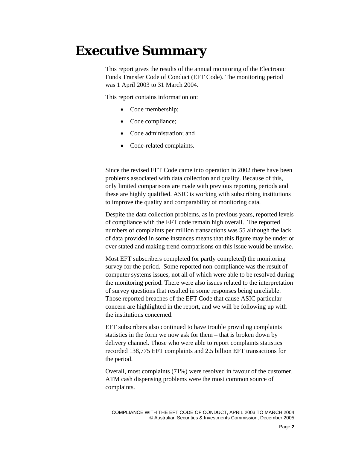## **Executive Summary**

This report gives the results of the annual monitoring of the Electronic Funds Transfer Code of Conduct (EFT Code). The monitoring period was 1 April 2003 to 31 March 2004.

This report contains information on:

- Code membership;
- Code compliance;
- Code administration: and
- Code-related complaints.

Since the revised EFT Code came into operation in 2002 there have been problems associated with data collection and quality. Because of this, only limited comparisons are made with previous reporting periods and these are highly qualified. ASIC is working with subscribing institutions to improve the quality and comparability of monitoring data.

Despite the data collection problems, as in previous years, reported levels of compliance with the EFT code remain high overall. The reported numbers of complaints per million transactions was 55 although the lack of data provided in some instances means that this figure may be under or over stated and making trend comparisons on this issue would be unwise.

Most EFT subscribers completed (or partly completed) the monitoring survey for the period. Some reported non-compliance was the result of computer systems issues, not all of which were able to be resolved during the monitoring period. There were also issues related to the interpretation of survey questions that resulted in some responses being unreliable. Those reported breaches of the EFT Code that cause ASIC particular concern are highlighted in the report, and we will be following up with the institutions concerned.

EFT subscribers also continued to have trouble providing complaints statistics in the form we now ask for them – that is broken down by delivery channel. Those who were able to report complaints statistics recorded 138,775 EFT complaints and 2.5 billion EFT transactions for the period.

Overall, most complaints (71%) were resolved in favour of the customer. ATM cash dispensing problems were the most common source of complaints.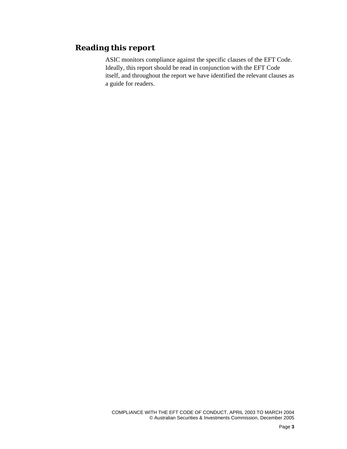## **Reading this report**

ASIC monitors compliance against the specific clauses of the EFT Code. Ideally, this report should be read in conjunction with the EFT Code itself, and throughout the report we have identified the relevant clauses as a guide for readers.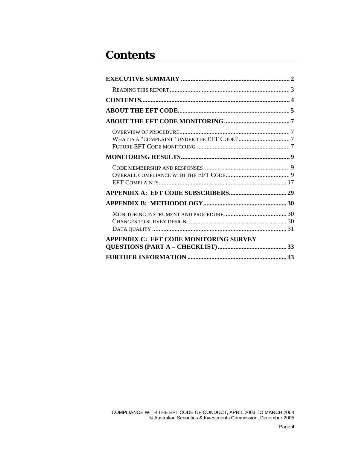## **Contents**

| APPENDIX C: EFT CODE MONITORING SURVEY |  |
|----------------------------------------|--|
|                                        |  |
|                                        |  |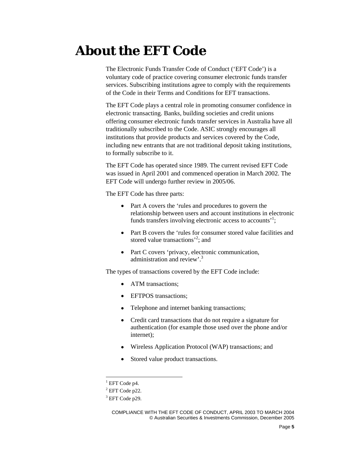## **About the EFT Code**

The Electronic Funds Transfer Code of Conduct ('EFT Code') is a voluntary code of practice covering consumer electronic funds transfer services. Subscribing institutions agree to comply with the requirements of the Code in their Terms and Conditions for EFT transactions.

The EFT Code plays a central role in promoting consumer confidence in electronic transacting. Banks, building societies and credit unions offering consumer electronic funds transfer services in Australia have all traditionally subscribed to the Code. ASIC strongly encourages all institutions that provide products and services covered by the Code, including new entrants that are not traditional deposit taking institutions, to formally subscribe to it.

The EFT Code has operated since 1989. The current revised EFT Code was issued in April 2001 and commenced operation in March 2002. The EFT Code will undergo further review in 2005/06.

The EFT Code has three parts:

- Part A covers the 'rules and procedures to govern the relationship between users and account institutions in electronic funds transfers involving electronic access to accounts<sup>'1</sup>;
- Part B covers the 'rules for consumer stored value facilities and stored value transactions<sup>2</sup>; and
- Part C covers 'privacy, electronic communication, administration and review'.<sup>3</sup>

The types of transactions covered by the EFT Code include:

- ATM transactions;
- EFTPOS transactions;
- Telephone and internet banking transactions;
- Credit card transactions that do not require a signature for authentication (for example those used over the phone and/or internet);
- Wireless Application Protocol (WAP) transactions; and
- Stored value product transactions.

 $\overline{\phantom{a}}$ 

 ${}^{1}$  EFT Code p4.

 $2$  EFT Code p22.

 $3$  EFT Code p29.

COMPLIANCE WITH THE EFT CODE OF CONDUCT, APRIL 2003 TO MARCH 2004 © Australian Securities & Investments Commission, December 2005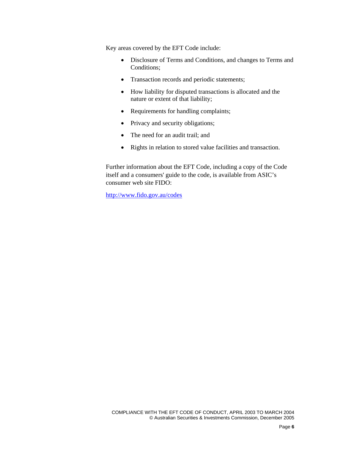Key areas covered by the EFT Code include:

- Disclosure of Terms and Conditions, and changes to Terms and Conditions;
- Transaction records and periodic statements;
- How liability for disputed transactions is allocated and the nature or extent of that liability;
- Requirements for handling complaints;
- Privacy and security obligations;
- The need for an audit trail; and
- Rights in relation to stored value facilities and transaction.

Further information about the EFT Code, including a copy of the Code itself and a consumers' guide to the code, is available from ASIC's consumer web site FIDO:

http://www.fido.gov.au/codes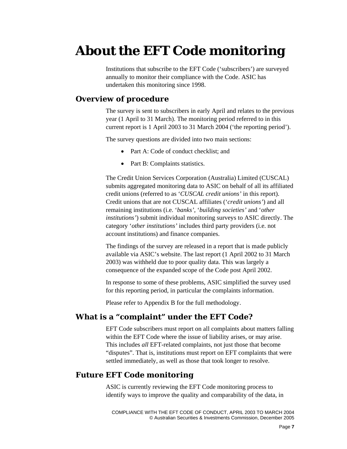## **About the EFT Code monitoring**

Institutions that subscribe to the EFT Code ('subscribers') are surveyed annually to monitor their compliance with the Code. ASIC has undertaken this monitoring since 1998.

### **Overview of procedure**

The survey is sent to subscribers in early April and relates to the previous year (1 April to 31 March). The monitoring period referred to in this current report is 1 April 2003 to 31 March 2004 ('the reporting period').

The survey questions are divided into two main sections:

- Part A: Code of conduct checklist: and
- Part B: Complaints statistics.

The Credit Union Services Corporation (Australia) Limited (CUSCAL) submits aggregated monitoring data to ASIC on behalf of all its affiliated credit unions (referred to as '*CUSCAL credit unions'* in this report). Credit unions that are not CUSCAL affiliates ('*credit unions'*) and all remaining institutions (i.e. '*banks'*, '*building societies'* and '*other institutions'*) submit individual monitoring surveys to ASIC directly. The category '*other institutions'* includes third party providers (i.e. not account institutions) and finance companies.

The findings of the survey are released in a report that is made publicly available via ASIC's website. The last report (1 April 2002 to 31 March 2003) was withheld due to poor quality data. This was largely a consequence of the expanded scope of the Code post April 2002.

In response to some of these problems, ASIC simplified the survey used for this reporting period, in particular the complaints information.

Please refer to Appendix B for the full methodology.

## **What is a "complaint" under the EFT Code?**

EFT Code subscribers must report on all complaints about matters falling within the EFT Code where the issue of liability arises, or may arise. This includes *all* EFT-related complaints, not just those that become "disputes". That is, institutions must report on EFT complaints that were settled immediately, as well as those that took longer to resolve.

### **Future EFT Code monitoring**

ASIC is currently reviewing the EFT Code monitoring process to identify ways to improve the quality and comparability of the data, in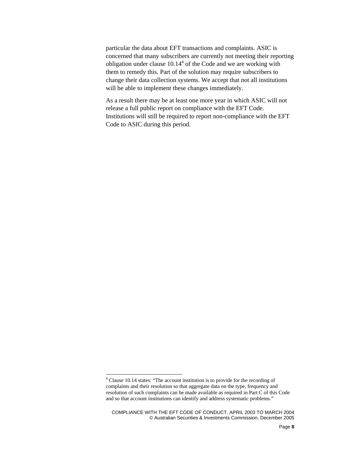particular the data about EFT transactions and complaints. ASIC is concerned that many subscribers are currently not meeting their reporting obligation under clause  $10.14<sup>4</sup>$  of the Code and we are working with them to remedy this. Part of the solution may require subscribers to change their data collection systems. We accept that not all institutions will be able to implement these changes immediately.

As a result there may be at least one more year in which ASIC will not release a full public report on compliance with the EFT Code. Institutions will still be required to report non-compliance with the EFT Code to ASIC during this period.

<sup>&</sup>lt;sup>4</sup> Clause 10.14 states: "The account institution is to provide for the recording of complaints and their resolution so that aggregate data on the type, frequency and resolution of such complaints can be made available as required in Part C of this Code and so that account institutions can identify and address systematic problems."

COMPLIANCE WITH THE EFT CODE OF CONDUCT, APRIL 2003 TO MARCH 2004 © Australian Securities & Investments Commission, December 2005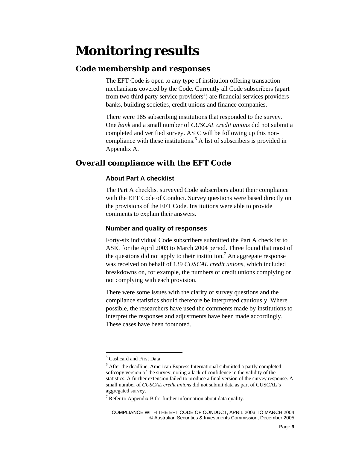## **Monitoring results**

### **Code membership and responses**

The EFT Code is open to any type of institution offering transaction mechanisms covered by the Code. Currently all Code subscribers (apart from two third party service providers<sup>5</sup>) are financial services providers  $$ banks, building societies, credit unions and finance companies.

There were 185 subscribing institutions that responded to the survey. One *bank* and a small number of *CUSCAL credit unions* did not submit a completed and verified survey. ASIC will be following up this noncompliance with these institutions.<sup>6</sup> A list of subscribers is provided in Appendix A.

## **Overall compliance with the EFT Code**

#### **About Part A checklist**

The Part A checklist surveyed Code subscribers about their compliance with the EFT Code of Conduct. Survey questions were based directly on the provisions of the EFT Code. Institutions were able to provide comments to explain their answers.

#### **Number and quality of responses**

Forty-six individual Code subscribers submitted the Part A checklist to ASIC for the April 2003 to March 2004 period. Three found that most of the questions did not apply to their institution.<sup>7</sup> An aggregate response was received on behalf of 139 *CUSCAL credit unions*, which included breakdowns on, for example, the numbers of credit unions complying or not complying with each provision.

There were some issues with the clarity of survey questions and the compliance statistics should therefore be interpreted cautiously. Where possible, the researchers have used the comments made by institutions to interpret the responses and adjustments have been made accordingly. These cases have been footnoted.

 $\overline{\phantom{a}}$ 

<sup>5</sup> Cashcard and First Data.

<sup>&</sup>lt;sup>6</sup> After the deadline, American Express International submitted a partly completed softcopy version of the survey, noting a lack of confidence in the validity of the statistics. A further extension failed to produce a final version of the survey response. A small number of *CUSCAL credit unions* did not submit data as part of CUSCAL's aggregated survey.

 $7$  Refer to Appendix B for further information about data quality.

COMPLIANCE WITH THE EFT CODE OF CONDUCT, APRIL 2003 TO MARCH 2004 © Australian Securities & Investments Commission, December 2005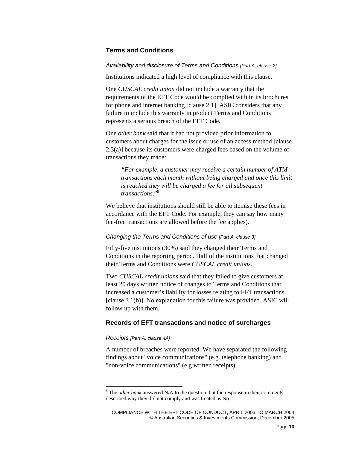#### **Terms and Conditions**

*Availability and disclosure of Terms and Conditions [Part A, clause 2]* 

Institutions indicated a high level of compliance with this clause.

One *CUSCAL credit union* did not include a warranty that the requirements of the EFT Code would be complied with in its brochures for phone and internet banking [clause 2.1]. ASIC considers that any failure to include this warranty in product Terms and Conditions represents a serious breach of the EFT Code.

One *other bank* said that it had not provided prior information to customers about charges for the issue or use of an access method [clause 2.3(a)] because its customers were charged fees based on the volume of transactions they made:

*"For example, a customer may receive a certain number of ATM transactions each month without being charged and once this limit is reached they will be charged a fee for all subsequent transactions*."<sup>8</sup>

We believe that institutions should still be able to itemise these fees in accordance with the EFT Code. For example, they can say how many fee-free transactions are allowed before the fee applies).

#### *Changing the Terms and Conditions of use [Part A, clause 3]*

Fifty-five institutions (30%) said they changed their Terms and Conditions in the reporting period. Half of the institutions that changed their Terms and Conditions were *CUSCAL credit unions*.

Two *CUSCAL credit unions* said that they failed to give customers at least 20 days written notice of changes to Terms and Conditions that increased a customer's liability for losses relating to EFT transactions [clause 3.1(b)]. No explanation for this failure was provided. ASIC will follow up with them.

#### **Records of EFT transactions and notice of surcharges**

#### *Receipts [Part A, clause 4A]*

 $\overline{\phantom{a}}$ 

A number of breaches were reported. We have separated the following findings about "voice communications" (e.g. telephone banking) and "non-voice communications" (e.g.written receipts).

 $8$ <sup>8</sup> The *other bank* answered N/A to the question, but the response in their comments described why they did not comply and was treated as No.

COMPLIANCE WITH THE EFT CODE OF CONDUCT, APRIL 2003 TO MARCH 2004 © Australian Securities & Investments Commission, December 2005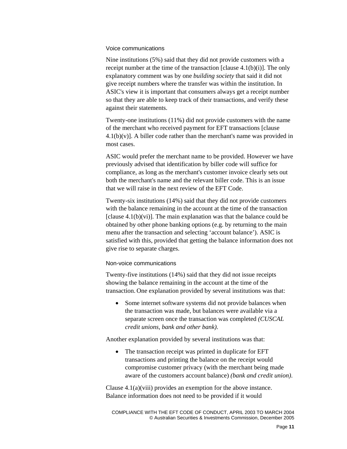#### Voice communications

Nine institutions (5%) said that they did not provide customers with a receipt number at the time of the transaction [clause  $4.1(b)(i)$ ]. The only explanatory comment was by one *building society* that said it did not give receipt numbers where the transfer was within the institution. In ASIC's view it is important that consumers always get a receipt number so that they are able to keep track of their transactions, and verify these against their statements.

Twenty-one institutions (11%) did not provide customers with the name of the merchant who received payment for EFT transactions [clause  $4.1(b)(v)$ ]. A biller code rather than the merchant's name was provided in most cases.

ASIC would prefer the merchant name to be provided. However we have previously advised that identification by biller code will suffice for compliance, as long as the merchant's customer invoice clearly sets out both the merchant's name and the relevant biller code. This is an issue that we will raise in the next review of the EFT Code.

Twenty-six institutions (14%) said that they did not provide customers with the balance remaining in the account at the time of the transaction [clause  $4.1(b)(vi)$ ]. The main explanation was that the balance could be obtained by other phone banking options (e.g. by returning to the main menu after the transaction and selecting 'account balance'). ASIC is satisfied with this, provided that getting the balance information does not give rise to separate charges.

#### Non-voice communications

Twenty-five institutions (14%) said that they did not issue receipts showing the balance remaining in the account at the time of the transaction. One explanation provided by several institutions was that:

Some internet software systems did not provide balances when the transaction was made, but balances were available via a separate screen once the transaction was completed *(CUSCAL credit unions, bank and other bank)*.

Another explanation provided by several institutions was that:

The transaction receipt was printed in duplicate for EFT transactions and printing the balance on the receipt would compromise customer privacy (with the merchant being made aware of the customers account balance) *(bank and credit union)*.

Clause 4.1(a)(viii) provides an exemption for the above instance. Balance information does not need to be provided if it would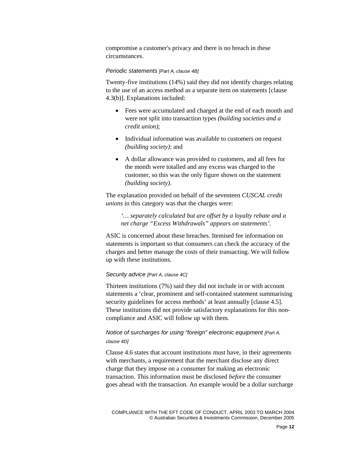compromise a customer's privacy and there is no breach in these circumstances.

#### *Periodic statements [Part A, clause 4B]*

Twenty-five institutions (14%) said they did not identify charges relating to the use of an access method as a separate item on statements [clause 4.3(b)]. Explanations included:

- Fees were accumulated and charged at the end of each month and were not split into transaction types *(building societies and a credit union)*;
- Individual information was available to customers on request *(building society)*; and
- A dollar allowance was provided to customers, and all fees for the month were totalled and any excess was charged to the customer, so this was the only figure shown on the statement *(building society).*

The explanation provided on behalf of the seventeen *CUSCAL credit unions* in this category was that the charges were:

*'… separately calculated but are offset by a loyalty rebate and a net charge "Excess Withdrawals" appears on statements'.* 

ASIC is concerned about these breaches. Itemised fee information on statements is important so that consumers can check the accuracy of the charges and better manage the costs of their transacting. We will follow up with these institutions.

#### *Security advice [Part A, clause 4C]*

Thirteen institutions (7%) said they did not include in or with account statements a 'clear, prominent and self-contained statement summarising security guidelines for access methods' at least annually [clause 4.5]. These institutions did not provide satisfactory explanations for this noncompliance and ASIC will follow up with them.

#### *Notice of surcharges for using "foreign" electronic equipment [Part A, clause 4D]*

Clause 4.6 states that account institutions must have, in their agreements with merchants, a requirement that the merchant disclose any direct charge that they impose on a consumer for making an electronic transaction. This information must be disclosed *before* the consumer goes ahead with the transaction. An example would be a dollar surcharge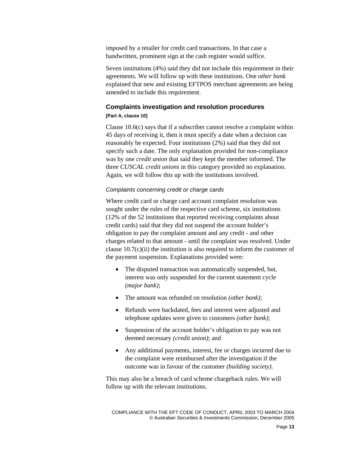imposed by a retailer for credit card transactions. In that case a handwritten, prominent sign at the cash register would suffice.

Seven institutions (4%) said they did not include this requirement in their agreements. We will follow up with these institutions. One *other bank*  explained that new and existing EFTPOS merchant agreements are being amended to include this requirement.

#### **Complaints investigation and resolution procedures**

#### **[Part A, clause 10]**

Clause 10.6(c) says that if a subscriber cannot resolve a complaint within 45 days of receiving it, then it must specify a date when a decision can reasonably be expected. Four institutions (2%) said that they did not specify such a date. The only explanation provided for non-compliance was by one *credit union* that said they kept the member informed. The three *CUSCAL credit unions* in this category provided no explanation. Again, we will follow this up with the institutions involved.

#### *Complaints concerning credit or charge cards*

Where credit card or charge card account complaint resolution was sought under the rules of the respective card scheme, six institutions (12% of the 52 institutions that reported receiving complaints about credit cards) said that they did not suspend the account holder's obligation to pay the complaint amount and any credit - and other charges related to that amount - until the complaint was resolved. Under clause 10.7(c)(ii) the institution is also required to inform the customer of the payment suspension. Explanations provided were:

- The disputed transaction was automatically suspended, but, interest was only suspended for the current statement cycle *(major bank)*;
- The amount was refunded on resolution *(other bank)*;
- Refunds were backdated, fees and interest were adjusted and telephone updates were given to customers *(other bank)*;
- Suspension of the account holder's obligation to pay was not deemed necessary *(credit union)*; and
- Any additional payments, interest, fee or charges incurred due to the complaint were reimbursed after the investigation if the outcome was in favour of the customer *(building society)*.

This may also be a breach of card scheme chargeback rules. We will follow up with the relevant institutions.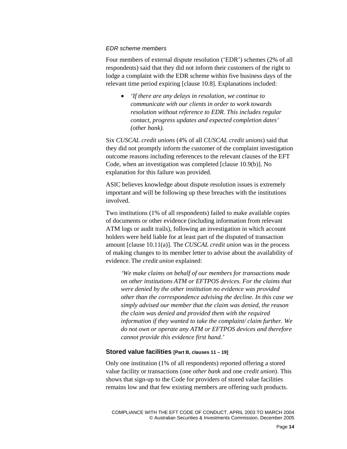#### *EDR scheme members*

Four members of external dispute resolution ('EDR') schemes (2% of all respondents) said that they did not inform their customers of the right to lodge a complaint with the EDR scheme within five business days of the relevant time period expiring [clause 10.8]. Explanations included:

• *'If there are any delays in resolution, we continue to communicate with our clients in order to work towards resolution without reference to EDR. This includes regular contact, progress updates and expected completion dates' (other bank).* 

Six *CUSCAL credit unions* (4% of all *CUSCAL credit unions*) said that they did not promptly inform the customer of the complaint investigation outcome reasons including references to the relevant clauses of the EFT Code, when an investigation was completed [clause 10.9(b)]. No explanation for this failure was provided.

ASIC believes knowledge about dispute resolution issues is extremely important and will be following up these breaches with the institutions involved.

Two institutions (1% of all respondents) failed to make available copies of documents or other evidence (including information from relevant ATM logs or audit trails), following an investigation in which account holders were held liable for at least part of the disputed of transaction amount [clause 10.11(a)]. The *CUSCAL credit union* was in the process of making changes to its member letter to advise about the availability of evidence. The *credit union* explained:

*'We make claims on behalf of our members for transactions made on other institutions ATM or EFTPOS devices. For the claims that were denied by the other institution no evidence was provided other than the correspondence advising the decline. In this case we simply advised our member that the claim was denied, the reason the claim was denied and provided them with the required information if they wanted to take the complaint/ claim further. We do not own or operate any ATM or EFTPOS devices and therefore cannot provide this evidence first hand.'*

#### **Stored value facilities [Part B, clauses 11 – 19]**

Only one institution (1% of all respondents) reported offering a stored value facility or transactions (one *other bank* and one *credit union*). This shows that sign-up to the Code for providers of stored value facilities remains low and that few existing members are offering such products.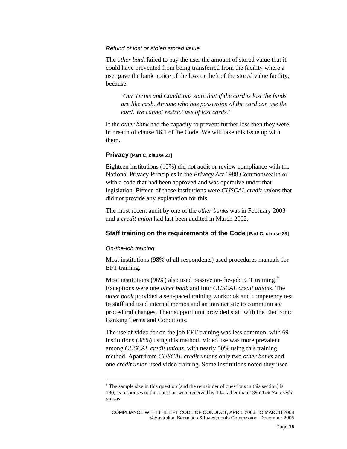#### *Refund of lost or stolen stored value*

The *other bank* failed to pay the user the amount of stored value that it could have prevented from being transferred from the facility where a user gave the bank notice of the loss or theft of the stored value facility, because:

*'Our Terms and Conditions state that if the card is lost the funds are like cash. Anyone who has possession of the card can use the card. We cannot restrict use of lost cards.'* 

If the *other bank* had the capacity to prevent further loss then they were in breach of clause 16.1 of the Code. We will take this issue up with them**.** 

#### **Privacy [Part C, clause 21]**

Eighteen institutions (10%) did not audit or review compliance with the National Privacy Principles in the *Privacy Act* 1988 Commonwealth or with a code that had been approved and was operative under that legislation. Fifteen of those institutions were *CUSCAL credit unions* that did not provide any explanation for this

The most recent audit by one of the *other banks* was in February 2003 and a *credit union* had last been audited in March 2002.

#### **Staff training on the requirements of the Code [Part C, clause 23]**

#### *On-the-job training*

Most institutions (98% of all respondents) used procedures manuals for EFT training.

Most institutions (96%) also used passive on-the-job EFT training.<sup>9</sup> Exceptions were one *other bank* and four *CUSCAL credit unions*. The *other bank* provided a self-paced training workbook and competency test to staff and used internal memos and an intranet site to communicate procedural changes. Their support unit provided staff with the Electronic Banking Terms and Conditions.

The use of video for on the job EFT training was less common, with 69 institutions (38%) using this method. Video use was more prevalent among *CUSCAL credit unions*, with nearly 50% using this training method. Apart from *CUSCAL credit unions* only two *other banks* and one *credit union* used video training. Some institutions noted they used

 $9^9$  The sample size in this question (and the remainder of questions in this section) is 180, as responses to this question were received by 134 rather than 139 *CUSCAL credit unions*

COMPLIANCE WITH THE EFT CODE OF CONDUCT, APRIL 2003 TO MARCH 2004 © Australian Securities & Investments Commission, December 2005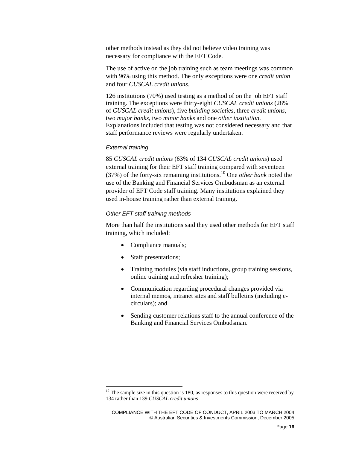other methods instead as they did not believe video training was necessary for compliance with the EFT Code.

The use of active on the job training such as team meetings was common with 96% using this method. The only exceptions were one *credit union* and four *CUSCAL credit unions*.

126 institutions (70%) used testing as a method of on the job EFT staff training. The exceptions were thirty-eight *CUSCAL credit unions* (28% of *CUSCAL credit unions*), five *building societies*, three *credit unions*, two *major banks*, two *minor banks* and one *other institution*. Explanations included that testing was not considered necessary and that staff performance reviews were regularly undertaken.

#### *External training*

 $\overline{\phantom{a}}$ 

85 *CUSCAL credit unions* (63% of 134 *CUSCAL credit unions*) used external training for their EFT staff training compared with seventeen (37%) of the forty-six remaining institutions.10 One *other bank* noted the use of the Banking and Financial Services Ombudsman as an external provider of EFT Code staff training. Many institutions explained they used in-house training rather than external training.

#### *Other EFT staff training methods*

More than half the institutions said they used other methods for EFT staff training, which included:

- Compliance manuals;
- Staff presentations;
- Training modules (via staff inductions, group training sessions, online training and refresher training);
- Communication regarding procedural changes provided via internal memos, intranet sites and staff bulletins (including ecirculars); and
- Sending customer relations staff to the annual conference of the Banking and Financial Services Ombudsman.

 $10$  The sample size in this question is 180, as responses to this question were received by 134 rather than 139 *CUSCAL credit unions*

COMPLIANCE WITH THE EFT CODE OF CONDUCT, APRIL 2003 TO MARCH 2004 © Australian Securities & Investments Commission, December 2005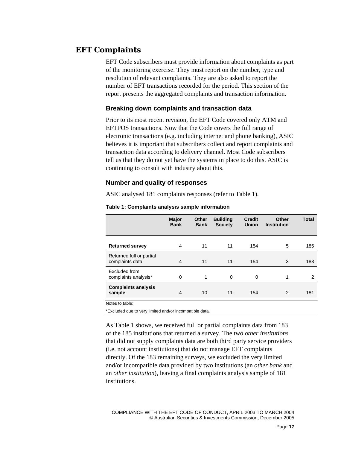### **EFT Complaints**

EFT Code subscribers must provide information about complaints as part of the monitoring exercise. They must report on the number, type and resolution of relevant complaints. They are also asked to report the number of EFT transactions recorded for the period. This section of the report presents the aggregated complaints and transaction information.

#### **Breaking down complaints and transaction data**

Prior to its most recent revision, the EFT Code covered only ATM and EFTPOS transactions. Now that the Code covers the full range of electronic transactions (e.g. including internet and phone banking), ASIC believes it is important that subscribers collect and report complaints and transaction data according to delivery channel. Most Code subscribers tell us that they do not yet have the systems in place to do this. ASIC is continuing to consult with industry about this.

#### **Number and quality of responses**

ASIC analysed 181 complaints responses (refer to Table 1).

|                                             | Major<br><b>Bank</b> | <b>Other</b><br><b>Bank</b> | <b>Building</b><br><b>Society</b> | <b>Credit</b><br><b>Union</b> | Other<br><b>Institution</b> | <b>Total</b> |
|---------------------------------------------|----------------------|-----------------------------|-----------------------------------|-------------------------------|-----------------------------|--------------|
| <b>Returned survey</b>                      | 4                    | 11                          | 11                                | 154                           | 5                           | 185          |
| Returned full or partial<br>complaints data | $\overline{4}$       | 11                          | 11                                | 154                           | 3                           | 183          |
| Excluded from<br>complaints analysis*       | 0                    | 1                           | $\mathbf 0$                       | 0                             | 1                           | 2            |
| <b>Complaints analysis</b><br>sample        | $\overline{4}$       | 10                          | 11                                | 154                           | 2                           | 181          |

#### **Table 1: Complaints analysis sample information**

Notes to table:

\*Excluded due to very limited and/or incompatible data.

As Table 1 shows, we received full or partial complaints data from 183 of the 185 institutions that returned a survey. The two *other institutions*  that did not supply complaints data are both third party service providers (i.e. not account institutions) that do not manage EFT complaints directly. Of the 183 remaining surveys, we excluded the very limited and/or incompatible data provided by two institutions (an *other bank* and an *other institution*), leaving a final complaints analysis sample of 181 institutions.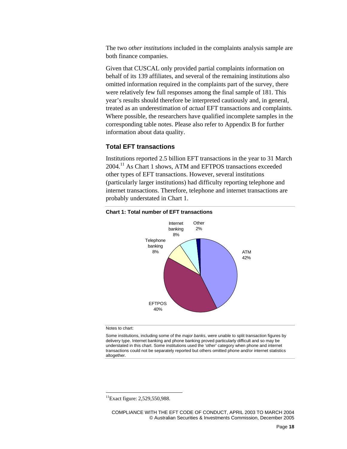The two *other institutions* included in the complaints analysis sample are both finance companies.

Given that CUSCAL only provided partial complaints information on behalf of its 139 affiliates, and several of the remaining institutions also omitted information required in the complaints part of the survey, there were relatively few full responses among the final sample of 181. This year's results should therefore be interpreted cautiously and, in general, treated as an underestimation of *actual* EFT transactions and complaints. Where possible, the researchers have qualified incomplete samples in the corresponding table notes. Please also refer to Appendix B for further information about data quality.

#### **Total EFT transactions**

Institutions reported 2.5 billion EFT transactions in the year to 31 March 2004.11 As Chart 1 shows, ATM and EFTPOS transactions exceeded other types of EFT transactions. However, several institutions (particularly larger institutions) had difficulty reporting telephone and internet transactions. Therefore, telephone and internet transactions are probably understated in Chart 1.



#### **Chart 1: Total number of EFT transactions**

#### Notes to chart:

 $\overline{\phantom{a}}$ 

Some institutions, including some of the *major banks*, were unable to split transaction figures by delivery type. Internet banking and phone banking proved particularly difficult and so may be understated in this chart. Some institutions used the 'other' category when phone and internet transactions could not be separately reported but others omitted phone and/or internet statistics altogether.

 $11$ Exact figure: 2,529,550,988.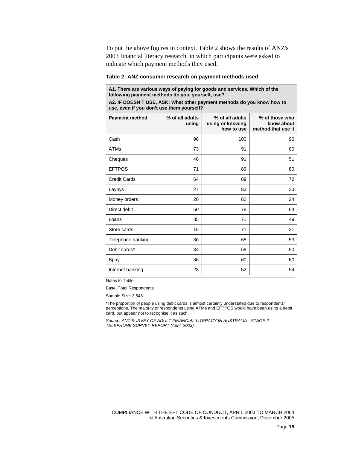To put the above figures in context, Table 2 shows the results of ANZ's 2003 financial literacy research, in which participants were asked to indicate which payment methods they used.

#### **Table 2: ANZ consumer research on payment methods used**

**A1. There are various ways of paying for goods and services. Which of the following payment methods do you, yourself, use?** 

**A2. IF DOESN'T USE, ASK: What other payment methods do you know how to use, even if you don't use them yourself?** 

| <b>Payment method</b> | % of all adults<br>using | % of all adults<br>using or knowing<br>how to use | % of those who<br>know about<br>method that use it |
|-----------------------|--------------------------|---------------------------------------------------|----------------------------------------------------|
| Cash                  | 96                       | 100                                               | 96                                                 |
| <b>ATMs</b>           | 73                       | 91                                                | 80                                                 |
| Cheques               | 46                       | 91                                                | 51                                                 |
| <b>EFTPOS</b>         | 71                       | 89                                                | 80                                                 |
| <b>Credit Cards</b>   | 64                       | 89                                                | 72                                                 |
| Laybys                | 27                       | 83                                                | 33                                                 |
| Money orders          | 20                       | 82                                                | 24                                                 |
| Direct debit          | 50                       | 78                                                | 64                                                 |
| Loans                 | 35                       | 71                                                | 49                                                 |
| Store cards           | 15                       | 71                                                | 21                                                 |
| Telephone banking     | 36                       | 68                                                | 53                                                 |
| Debit cards*          | 34                       | 68                                                | 50                                                 |
| <b>Bpay</b>           | 36                       | 60                                                | 60                                                 |
| Internet banking      | 28                       | 52                                                | 54                                                 |

Notes to Table:

Base: Total Respondents

Sample Size: 3,548

\*The proportion of people using debit cards is almost certainly understated due to respondents' perceptions. The majority of respondents using ATMs and EFTPOS would have been using a debit card, but appear not to recognise it as such.

*Source: ANZ SURVEY OF ADULT FINANCIAL LITERACY IN AUSTRALIA - STAGE 2: TELEPHONE SURVEY REPORT (April, 2003)*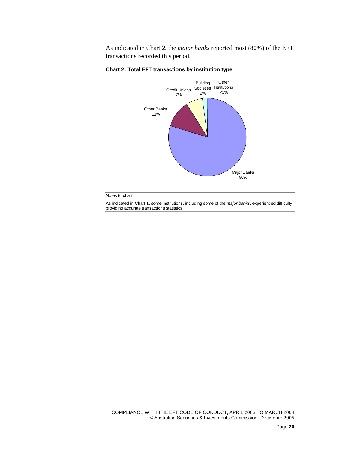As indicated in Chart 2, the *major banks* reported most (80%) of the EFT transactions recorded this period.



**Chart 2: Total EFT transactions by institution type** 

Notes to chart:

As indicated in Chart 1, some institutions, including some of the *major banks*, experienced difficulty providing accurate transactions statistics.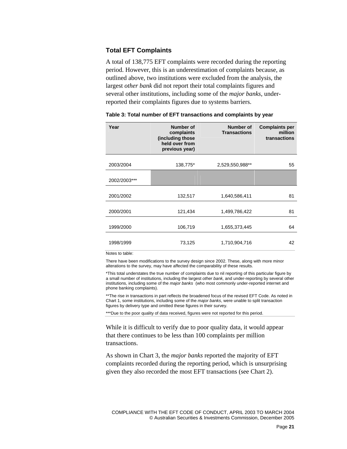#### **Total EFT Complaints**

A total of 138,775 EFT complaints were recorded during the reporting period. However, this is an underestimation of complaints because, as outlined above, two institutions were excluded from the analysis, the largest *other bank* did not report their total complaints figures and several other institutions, including some of the *major banks*, underreported their complaints figures due to systems barriers.

| Year         | Number of<br>complaints<br>(including those<br>held over from<br>previous year) | Number of<br><b>Transactions</b> | <b>Complaints per</b><br>million<br>transactions |
|--------------|---------------------------------------------------------------------------------|----------------------------------|--------------------------------------------------|
| 2003/2004    | 138,775*                                                                        | 2,529,550,988**                  | 55                                               |
| 2002/2003*** |                                                                                 |                                  |                                                  |
| 2001/2002    | 132,517                                                                         | 1,640,586,411                    | 81                                               |
| 2000/2001    | 121,434                                                                         | 1,499,786,422                    | 81                                               |
| 1999/2000    | 106,719                                                                         | 1,655,373,445                    | 64                                               |
| 1998/1999    | 73,125                                                                          | 1,710,904,716                    | 42                                               |

**Table 3: Total number of EFT transactions and complaints by year** 

Notes to table:

There have been modifications to the survey design since 2002. These, along with more minor alterations to the survey, may have affected the comparability of these results.

\*This total understates the true number of complaints due to nil reporting of this particular figure by a small number of institutions, including the largest *other bank,* and under-reporting by several other institutions, including some of the *major banks* (who most commonly under-reported internet and phone banking complaints).

\*\*The rise in transactions in part reflects the broadened focus of the revised EFT Code. As noted in Chart 1, some institutions, including some of the *major banks*, were unable to split transaction figures by delivery type and omitted these figures in their survey.

\*\*\*Due to the poor quality of data received, figures were not reported for this period.

While it is difficult to verify due to poor quality data, it would appear that there continues to be less than 100 complaints per million transactions.

As shown in Chart 3, the *major banks* reported the majority of EFT complaints recorded during the reporting period, which is unsurprising given they also recorded the most EFT transactions (see Chart 2).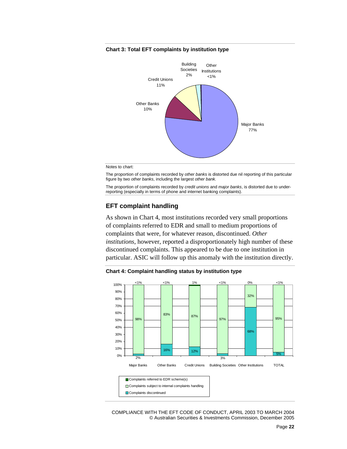#### **Chart 3: Total EFT complaints by institution type**



Notes to chart:

The proportion of complaints recorded by *other banks* is distorted due nil reporting of this particular figure by two *other banks*, including the largest *other bank.* 

The proportion of complaints recorded by *credit unions* and *major banks*, is distorted due to underreporting (especially in terms of phone and internet banking complaints).

#### **EFT complaint handling**

As shown in Chart 4, most institutions recorded very small proportions of complaints referred to EDR and small to medium proportions of complaints that were, for whatever reason, discontinued. *Other institutions*, however, reported a disproportionately high number of these discontinued complaints. This appeared to be due to one institution in particular. ASIC will follow up this anomaly with the institution directly.

**Chart 4: Complaint handling status by institution type** 

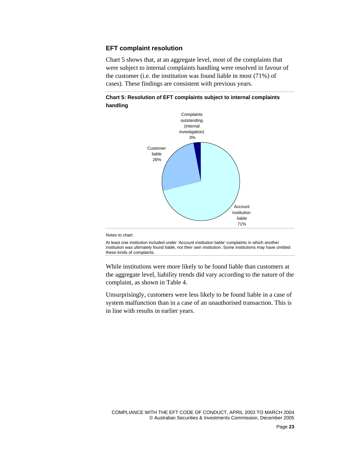#### **EFT complaint resolution**

Chart 5 shows that, at an aggregate level, most of the complaints that were subject to internal complaints handling were resolved in favour of the customer (i.e. the institution was found liable in most (71%) of cases). These findings are consistent with previous years.





#### Notes to chart:

At least one institution included under 'Account institution liable' complaints in which another institution was ultimately found liable, not their own institution. Some institutions may have omitted these kinds of complaints.

While institutions were more likely to be found liable than customers at the aggregate level, liability trends did vary according to the nature of the complaint, as shown in Table 4.

Unsurprisingly, customers were less likely to be found liable in a case of system malfunction than in a case of an unauthorised transaction. This is in line with results in earlier years.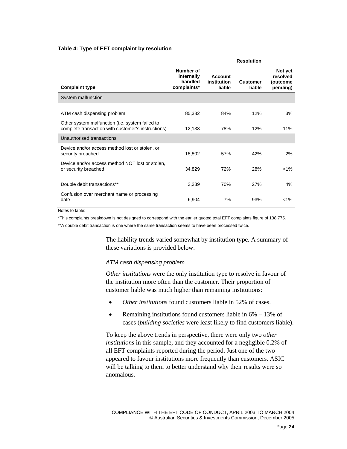#### **Table 4: Type of EFT complaint by resolution**

|                                                                                                       |                                                   |                                  | <b>Resolution</b>         |                                             |
|-------------------------------------------------------------------------------------------------------|---------------------------------------------------|----------------------------------|---------------------------|---------------------------------------------|
| <b>Complaint type</b>                                                                                 | Number of<br>internally<br>handled<br>complaints* | Account<br>institution<br>liable | <b>Customer</b><br>liable | Not yet<br>resolved<br>(outcome<br>pending) |
| System malfunction                                                                                    |                                                   |                                  |                           |                                             |
| ATM cash dispensing problem                                                                           | 85,382                                            | 84%                              | 12%                       | 3%                                          |
| Other system malfunction (i.e. system failed to<br>complete transaction with customer's instructions) | 12,133                                            | 78%                              | 12%                       | 11%                                         |
| Unauthorised transactions                                                                             |                                                   |                                  |                           |                                             |
| Device and/or access method lost or stolen, or<br>security breached                                   | 18,802                                            | 57%                              | 42%                       | 2%                                          |
| Device and/or access method NOT lost or stolen.<br>or security breached                               | 34,829                                            | 72%                              | 28%                       | $< 1\%$                                     |
| Double debit transactions**                                                                           | 3,339                                             | 70%                              | 27%                       | 4%                                          |
| Confusion over merchant name or processing<br>date                                                    | 6,904                                             | 7%                               | 93%                       | $< 1\%$                                     |

Notes to table:

\*This complaints breakdown is not designed to correspond with the earlier quoted total EFT complaints figure of 138,775.

\*\*A double debit transaction is one where the same transaction seems to have been processed twice.

The liability trends varied somewhat by institution type. A summary of these variations is provided below.

#### *ATM cash dispensing problem*

*Other institutions* were the only institution type to resolve in favour of the institution more often than the customer. Their proportion of customer liable was much higher than remaining institutions:

- *Other institutions* found customers liable in 52% of cases.
- Remaining institutions found customers liable in  $6\% 13\%$  of cases (*building societies* were least likely to find customers liable).

To keep the above trends in perspective, there were only two *other institutions* in this sample, and they accounted for a negligible 0.2% of all EFT complaints reported during the period. Just one of the two appeared to favour institutions more frequently than customers. ASIC will be talking to them to better understand why their results were so anomalous.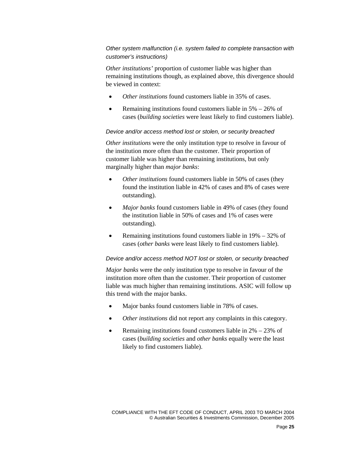*Other system malfunction (i.e. system failed to complete transaction with customer's instructions)* 

*Other institutions'* proportion of customer liable was higher than remaining institutions though, as explained above, this divergence should be viewed in context:

- *Other institutions* found customers liable in 35% of cases.
- Remaining institutions found customers liable in  $5\% 26\%$  of cases (*building societies* were least likely to find customers liable).

#### *Device and/or access method lost or stolen, or security breached*

*Other institutions* were the only institution type to resolve in favour of the institution more often than the customer. Their proportion of customer liable was higher than remaining institutions, but only marginally higher than *major banks*:

- *Other institutions* found customers liable in 50% of cases (they found the institution liable in 42% of cases and 8% of cases were outstanding).
- *Major banks* found customers liable in 49% of cases (they found the institution liable in 50% of cases and 1% of cases were outstanding).
- Remaining institutions found customers liable in 19% 32% of cases (*other banks* were least likely to find customers liable).

#### *Device and/or access method NOT lost or stolen, or security breached*

*Major banks* were the only institution type to resolve in favour of the institution more often than the customer. Their proportion of customer liable was much higher than remaining institutions. ASIC will follow up this trend with the major banks.

- Major banks found customers liable in 78% of cases.
- *Other institutions* did not report any complaints in this category.
- Remaining institutions found customers liable in  $2\% 23\%$  of cases (*building societies* and *other banks* equally were the least likely to find customers liable).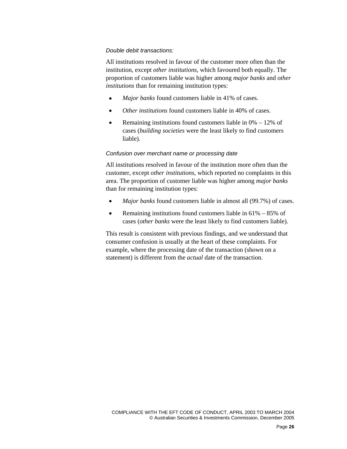#### *Double debit transactions:*

All institutions resolved in favour of the customer more often than the institution, except *other institutions*, which favoured both equally. The proportion of customers liable was higher among *major banks* and *other institutions* than for remaining institution types:

- *Major banks* found customers liable in 41% of cases.
- *Other institutions* found customers liable in 40% of cases.
- Remaining institutions found customers liable in  $0\% 12\%$  of cases (*building societies* were the least likely to find customers liable).

#### *Confusion over merchant name or processing date*

All institutions resolved in favour of the institution more often than the customer, except *other institutions*, which reported no complaints in this area. The proportion of customer liable was higher among *major banks* than for remaining institution types:

- *Major banks* found customers liable in almost all (99.7%) of cases.
- Remaining institutions found customers liable in  $61\% 85\%$  of cases (*other banks* were the least likely to find customers liable).

This result is consistent with previous findings, and we understand that consumer confusion is usually at the heart of these complaints. For example, where the processing date of the transaction (shown on a statement) is different from the *actual* date of the transaction.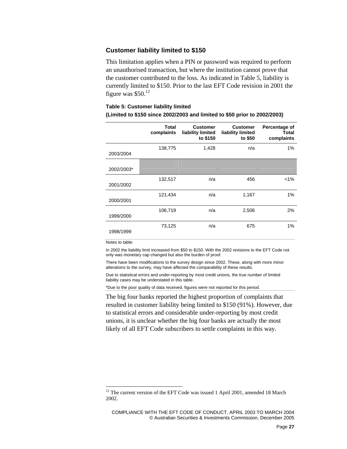#### **Customer liability limited to \$150**

This limitation applies when a PIN or password was required to perform an unauthorised transaction, but where the institution cannot prove that the customer contributed to the loss. As indicated in Table 5, liability is currently limited to \$150. Prior to the last EFT Code revision in 2001 the figure was  $$50.<sup>12</sup>$ 

#### **Table 5: Customer liability limited (Limited to \$150 since 2002/2003 and limited to \$50 prior to 2002/2003)**

|            | Total<br>complaints | <b>Customer</b><br>liability limited<br>to \$150 | <b>Customer</b><br>liability limited<br>to \$50 | Percentage of<br><b>Total</b><br>complaints |
|------------|---------------------|--------------------------------------------------|-------------------------------------------------|---------------------------------------------|
| 2003/2004  | 138,775             | 1,428                                            | n/a                                             | 1%                                          |
| 2002/2003* |                     |                                                  |                                                 |                                             |
| 2001/2002  | 132,517             | n/a                                              | 456                                             | $< 1\%$                                     |
| 2000/2001  | 121,434             | n/a                                              | 1,167                                           | 1%                                          |
| 1999/2000  | 106,719             | n/a                                              | 2,506                                           | 2%                                          |
| 1998/1999  | 73,125              | n/a                                              | 675                                             | 1%                                          |

Notes to table:

 $\overline{\phantom{a}}$ 

In 2002 the liability limit increased from \$50 to \$150. With the 2002 revisions to the EFT Code not only was monetary cap changed but also the burden of proof.

There have been modifications to the survey design since 2002. These, along with more minor alterations to the survey, may have affected the comparability of these results.

Due to statistical errors and under-reporting by most credit unions, the true number of limited liability cases may be understated in this table.

\*Due to the poor quality of data received, figures were not reported for this period.

The big four banks reported the highest proportion of complaints that resulted in customer liability being limited to \$150 (91%). However, due to statistical errors and considerable under-reporting by most credit unions, it is unclear whether the big four banks are actually the most likely of all EFT Code subscribers to settle complaints in this way.

 $12$  The current version of the EFT Code was issued 1 April 2001, amended 18 March 2002.

COMPLIANCE WITH THE EFT CODE OF CONDUCT, APRIL 2003 TO MARCH 2004 © Australian Securities & Investments Commission, December 2005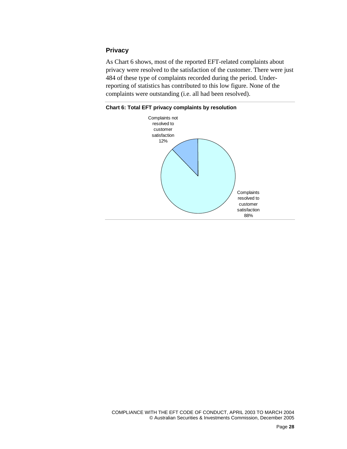#### **Privacy**

As Chart 6 shows, most of the reported EFT-related complaints about privacy were resolved to the satisfaction of the customer. There were just 484 of these type of complaints recorded during the period. Underreporting of statistics has contributed to this low figure. None of the complaints were outstanding (i.e. all had been resolved).



**Chart 6: Total EFT privacy complaints by resolution**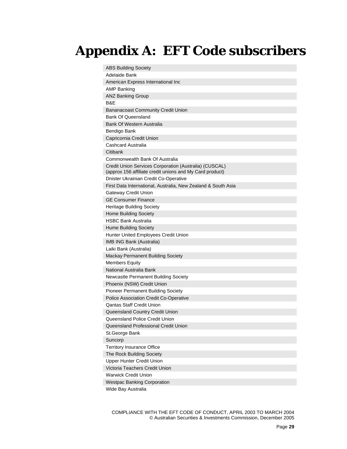# **Appendix A: EFT Code subscribers**

| <b>ABS Building Society</b>                                                                                        |
|--------------------------------------------------------------------------------------------------------------------|
| Adelaide Bank                                                                                                      |
| American Express International Inc                                                                                 |
| <b>AMP Banking</b>                                                                                                 |
| <b>ANZ Banking Group</b>                                                                                           |
| B&E                                                                                                                |
| <b>Bananacoast Community Credit Union</b>                                                                          |
| <b>Bank Of Queensland</b>                                                                                          |
| Bank Of Western Australia                                                                                          |
| Bendigo Bank                                                                                                       |
| Capricornia Credit Union                                                                                           |
| Cashcard Australia                                                                                                 |
| Citibank                                                                                                           |
| Commonwealth Bank Of Australia                                                                                     |
| Credit Union Services Corporation (Australia) (CUSCAL)<br>(approx 156 affiliate credit unions and My Card product) |
| Dnister Ukrainian Credit Co-Operative                                                                              |
| First Data International, Australia, New Zealand & South Asia                                                      |
| Gateway Credit Union                                                                                               |
| <b>GE Consumer Finance</b>                                                                                         |
| <b>Heritage Building Society</b>                                                                                   |
| <b>Home Building Society</b>                                                                                       |
| <b>HSBC Bank Australia</b>                                                                                         |
| <b>Hume Building Society</b>                                                                                       |
| Hunter United Employees Credit Union                                                                               |
| <b>IMB ING Bank (Australia)</b>                                                                                    |
| Laiki Bank (Australia)                                                                                             |
| <b>Mackay Permanent Building Society</b>                                                                           |
| <b>Members Equity</b>                                                                                              |
| National Australia Bank                                                                                            |
| Newcastle Permanent Building Society                                                                               |
| Phoenix (NSW) Credit Union                                                                                         |
| <b>Pioneer Permanent Building Society</b>                                                                          |
| Police Association Credit Co-Operative                                                                             |
| <b>Qantas Staff Credit Union</b>                                                                                   |
| Queensland Country Credit Union                                                                                    |
| Queensland Police Credit Union                                                                                     |
| Queensland Professional Credit Union                                                                               |
| St.George Bank                                                                                                     |
| Suncorp                                                                                                            |
| <b>Territory Insurance Office</b>                                                                                  |
| The Rock Building Society                                                                                          |
| Upper Hunter Credit Union                                                                                          |
| Victoria Teachers Credit Union                                                                                     |
| <b>Warwick Credit Union</b>                                                                                        |
| <b>Westpac Banking Corporation</b>                                                                                 |
| Wide Bay Australia                                                                                                 |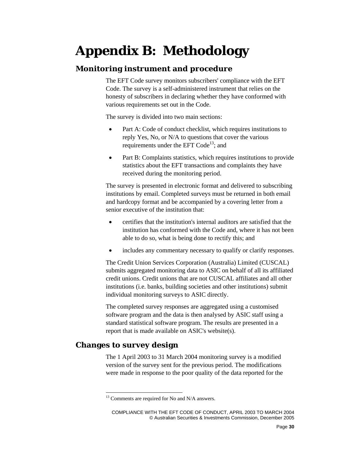# **Appendix B: Methodology**

### **Monitoring instrument and procedure**

The EFT Code survey monitors subscribers' compliance with the EFT Code. The survey is a self-administered instrument that relies on the honesty of subscribers in declaring whether they have conformed with various requirements set out in the Code.

The survey is divided into two main sections:

- Part A: Code of conduct checklist, which requires institutions to reply Yes, No, or N/A to questions that cover the various requirements under the EFT  $Code^{13}$ ; and
- Part B: Complaints statistics, which requires institutions to provide statistics about the EFT transactions and complaints they have received during the monitoring period.

The survey is presented in electronic format and delivered to subscribing institutions by email. Completed surveys must be returned in both email and hardcopy format and be accompanied by a covering letter from a senior executive of the institution that:

- certifies that the institution's internal auditors are satisfied that the institution has conformed with the Code and, where it has not been able to do so, what is being done to rectify this; and
- includes any commentary necessary to qualify or clarify responses.

The Credit Union Services Corporation (Australia) Limited (CUSCAL) submits aggregated monitoring data to ASIC on behalf of all its affiliated credit unions. Credit unions that are not CUSCAL affiliates and all other institutions (i.e. banks, building societies and other institutions) submit individual monitoring surveys to ASIC directly.

The completed survey responses are aggregated using a customised software program and the data is then analysed by ASIC staff using a standard statistical software program. The results are presented in a report that is made available on ASIC's website(s).

## **Changes to survey design**

 $\overline{\phantom{a}}$ 

The 1 April 2003 to 31 March 2004 monitoring survey is a modified version of the survey sent for the previous period. The modifications were made in response to the poor quality of the data reported for the

 $13$  Comments are required for No and N/A answers.

COMPLIANCE WITH THE EFT CODE OF CONDUCT, APRIL 2003 TO MARCH 2004 © Australian Securities & Investments Commission, December 2005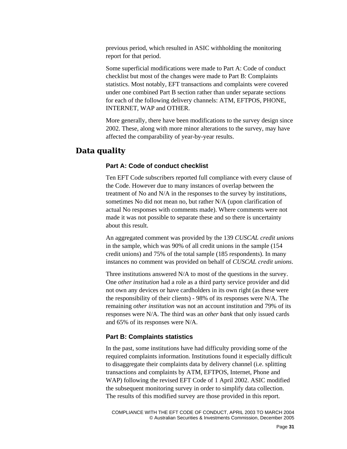previous period, which resulted in ASIC withholding the monitoring report for that period.

Some superficial modifications were made to Part A: Code of conduct checklist but most of the changes were made to Part B: Complaints statistics. Most notably, EFT transactions and complaints were covered under one combined Part B section rather than under separate sections for each of the following delivery channels: ATM, EFTPOS, PHONE, INTERNET, WAP and OTHER.

More generally, there have been modifications to the survey design since 2002. These, along with more minor alterations to the survey, may have affected the comparability of year-by-year results.

### **Data quality**

#### **Part A: Code of conduct checklist**

Ten EFT Code subscribers reported full compliance with every clause of the Code. However due to many instances of overlap between the treatment of No and N/A in the responses to the survey by institutions, sometimes No did not mean no, but rather N/A (upon clarification of actual No responses with comments made). Where comments were not made it was not possible to separate these and so there is uncertainty about this result.

An aggregated comment was provided by the 139 *CUSCAL credit unions*  in the sample, which was 90% of all credit unions in the sample (154 credit unions) and 75% of the total sample (185 respondents). In many instances no comment was provided on behalf of *CUSCAL credit unions*.

Three institutions answered N/A to most of the questions in the survey. One *other institution* had a role as a third party service provider and did not own any devices or have cardholders in its own right (as these were the responsibility of their clients) - 98% of its responses were N/A. The remaining *other institution* was not an account institution and 79% of its responses were N/A. The third was an *other bank* that only issued cards and 65% of its responses were N/A.

#### **Part B: Complaints statistics**

In the past, some institutions have had difficulty providing some of the required complaints information. Institutions found it especially difficult to disaggregate their complaints data by delivery channel (i.e. splitting transactions and complaints by ATM, EFTPOS, Internet, Phone and WAP) following the revised EFT Code of 1 April 2002. ASIC modified the subsequent monitoring survey in order to simplify data collection. The results of this modified survey are those provided in this report.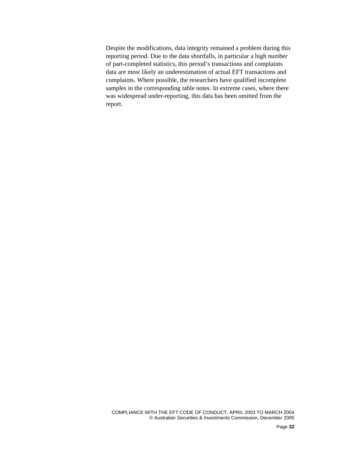Despite the modifications, data integrity remained a problem during this reporting period. Due to the data shortfalls, in particular a high number of part-completed statistics, this period's transactions and complaints data are most likely an underestimation of actual EFT transactions and complaints. Where possible, the researchers have qualified incomplete samples in the corresponding table notes. In extreme cases, where there was widespread under-reporting, this data has been omitted from the report.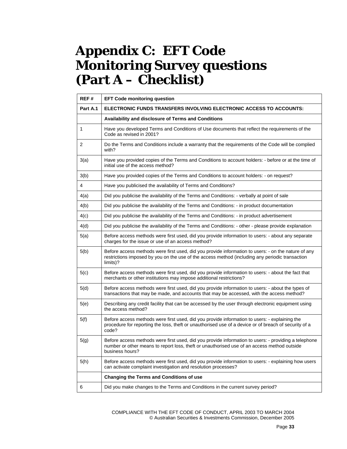## **Appendix C: EFT Code Monitoring Survey questions (Part A – Checklist)**

| REF#     | <b>EFT Code monitoring question</b>                                                                                                                                                                                    |
|----------|------------------------------------------------------------------------------------------------------------------------------------------------------------------------------------------------------------------------|
| Part A.1 | ELECTRONIC FUNDS TRANSFERS INVOLVING ELECTRONIC ACCESS TO ACCOUNTS:                                                                                                                                                    |
|          | <b>Availability and disclosure of Terms and Conditions</b>                                                                                                                                                             |
| 1        | Have you developed Terms and Conditions of Use documents that reflect the requirements of the<br>Code as revised in 2001?                                                                                              |
| 2        | Do the Terms and Conditions include a warranty that the requirements of the Code will be complied<br>with?                                                                                                             |
| 3(a)     | Have you provided copies of the Terms and Conditions to account holders: - before or at the time of<br>initial use of the access method?                                                                               |
| 3(b)     | Have you provided copies of the Terms and Conditions to account holders: - on request?                                                                                                                                 |
| 4        | Have you publicised the availability of Terms and Conditions?                                                                                                                                                          |
| 4(a)     | Did you publicise the availability of the Terms and Conditions: - verbally at point of sale                                                                                                                            |
| 4(b)     | Did you publicise the availability of the Terms and Conditions: - in product documentation                                                                                                                             |
| 4(c)     | Did you publicise the availability of the Terms and Conditions: - in product advertisement                                                                                                                             |
| 4(d)     | Did you publicise the availability of the Terms and Conditions: - other - please provide explanation                                                                                                                   |
| 5(a)     | Before access methods were first used, did you provide information to users: - about any separate<br>charges for the issue or use of an access method?                                                                 |
| 5(b)     | Before access methods were first used, did you provide information to users: - on the nature of any<br>restrictions imposed by you on the use of the access method (including any periodic transaction<br>limits)?     |
| 5(c)     | Before access methods were first used, did you provide information to users: - about the fact that<br>merchants or other institutions may impose additional restrictions?                                              |
| 5(d)     | Before access methods were first used, did you provide information to users: - about the types of<br>transactions that may be made, and accounts that may be accessed, with the access method?                         |
| 5(e)     | Describing any credit facility that can be accessed by the user through electronic equipment using<br>the access method?                                                                                               |
| 5(f)     | Before access methods were first used, did you provide information to users: - explaining the<br>procedure for reporting the loss, theft or unauthorised use of a device or of breach of security of a<br>code?        |
| 5(g)     | Before access methods were first used, did you provide information to users: - providing a telephone<br>number or other means to report loss, theft or unauthorised use of an access method outside<br>business hours? |
| 5(h)     | Before access methods were first used, did you provide information to users: - explaining how users<br>can activate complaint investigation and resolution processes?                                                  |
|          | <b>Changing the Terms and Conditions of use</b>                                                                                                                                                                        |
| 6        | Did you make changes to the Terms and Conditions in the current survey period?                                                                                                                                         |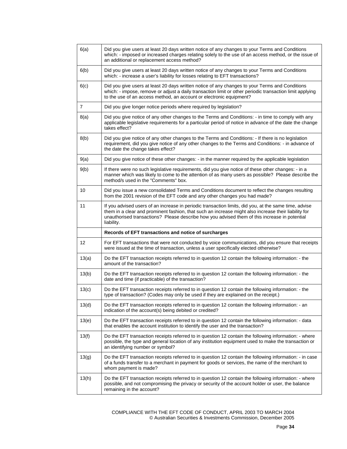| 6(a)           | Did you give users at least 20 days written notice of any changes to your Terms and Conditions<br>which: - imposed or increased charges relating solely to the use of an access method, or the issue of<br>an additional or replacement access method?                                                                       |
|----------------|------------------------------------------------------------------------------------------------------------------------------------------------------------------------------------------------------------------------------------------------------------------------------------------------------------------------------|
| 6(b)           | Did you give users at least 20 days written notice of any changes to your Terms and Conditions<br>which: - increase a user's liability for losses relating to EFT transactions?                                                                                                                                              |
| 6(c)           | Did you give users at least 20 days written notice of any changes to your Terms and Conditions<br>which: - impose, remove or adjust a daily transaction limit or other periodic transaction limit applying<br>to the use of an access method, an account or electronic equipment?                                            |
| $\overline{7}$ | Did you give longer notice periods where required by legislation?                                                                                                                                                                                                                                                            |
| 8(a)           | Did you give notice of any other changes to the Terms and Conditions: - in time to comply with any<br>applicable legislative requirements for a particular period of notice in advance of the date the change<br>takes effect?                                                                                               |
| 8(b)           | Did you give notice of any other changes to the Terms and Conditions: - If there is no legislation<br>requirement, did you give notice of any other changes to the Terms and Conditions: - in advance of<br>the date the change takes effect?                                                                                |
| 9(a)           | Did you give notice of these other changes: - in the manner required by the applicable legislation                                                                                                                                                                                                                           |
| 9(b)           | If there were no such legislative requirements, did you give notice of these other changes: - in a<br>manner which was likely to come to the attention of as many users as possible? Please describe the<br>method/s used in the "Comments" box.                                                                             |
| 10             | Did you issue a new consolidated Terms and Conditions document to reflect the changes resulting<br>from the 2001 revision of the EFT code and any other changes you had made?                                                                                                                                                |
| 11             | If you advised users of an increase in periodic transaction limits, did you, at the same time, advise<br>them in a clear and prominent fashion, that such an increase might also increase their liability for<br>unauthorised transactions? Please describe how you advised them of this increase in potential<br>liability. |
|                | Records of EFT transactions and notice of surcharges                                                                                                                                                                                                                                                                         |
| 12             | For EFT transactions that were not conducted by voice communications, did you ensure that receipts<br>were issued at the time of transaction, unless a user specifically elected otherwise?                                                                                                                                  |
| 13(a)          | Do the EFT transaction receipts referred to in question 12 contain the following information: - the<br>amount of the transaction?                                                                                                                                                                                            |
| 13(b)          | Do the EFT transaction receipts referred to in question 12 contain the following information: - the<br>date and time (if practicable) of the transaction?                                                                                                                                                                    |
| 13(c)          | Do the EFT transaction receipts referred to in question 12 contain the following information: - the<br>type of transaction? (Codes may only be used if they are explained on the receipt.)                                                                                                                                   |
| 13(d)          | Do the EFT transaction receipts referred to in question 12 contain the following information: - an<br>indication of the account(s) being debited or credited?                                                                                                                                                                |
| 13(e)          | Do the EFT transaction receipts referred to in question 12 contain the following information: - data<br>that enables the account institution to identify the user and the transaction?                                                                                                                                       |
| 13(f)          | Do the EFT transaction receipts referred to in question 12 contain the following information: - where<br>possible, the type and general location of any institution equipment used to make the transaction or<br>an identifying number or symbol?                                                                            |
| 13(g)          | Do the EFT transaction receipts referred to in question 12 contain the following information: - in case<br>of a funds transfer to a merchant in payment for goods or services, the name of the merchant to<br>whom payment is made?                                                                                          |
| 13(h)          | Do the EFT transaction receipts referred to in question 12 contain the following information: - where<br>possible, and not compromising the privacy or security of the account holder or user, the balance<br>remaining in the account?                                                                                      |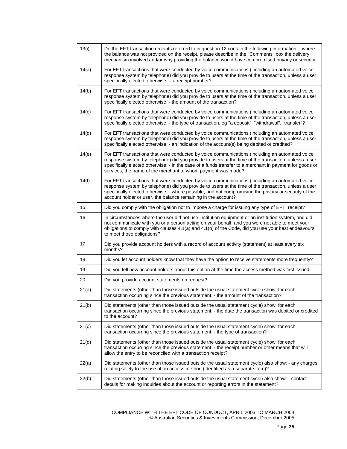| 13(i) | Do the EFT transaction receipts referred to in question 12 contain the following information: - where<br>the balance was not provided on the receipt, please describe in the "Comments" box the delivery<br>mechanism involved and/or why providing the balance would have compromised privacy or security                                                                        |
|-------|-----------------------------------------------------------------------------------------------------------------------------------------------------------------------------------------------------------------------------------------------------------------------------------------------------------------------------------------------------------------------------------|
| 14(a) | For EFT transactions that were conducted by voice communications (including an automated voice<br>response system by telephone) did you provide to users at the time of the transaction, unless a user<br>specifically elected otherwise: - a receipt number?                                                                                                                     |
| 14(b) | For EFT transactions that were conducted by voice communications (including an automated voice<br>response system by telephone) did you provide to users at the time of the transaction, unless a user<br>specifically elected otherwise: - the amount of the transaction?                                                                                                        |
| 14(c) | For EFT transactions that were conducted by voice communications (including an automated voice<br>response system by telephone) did you provide to users at the time of the transaction, unless a user<br>specifically elected otherwise: - the type of transaction, eg "a deposit", "withdrawal", "transfer"?                                                                    |
| 14(d) | For EFT transactions that were conducted by voice communications (including an automated voice<br>response system by telephone) did you provide to users at the time of the transaction, unless a user<br>specifically elected otherwise: - an indication of the account(s) being debited or credited?                                                                            |
| 14(e) | For EFT transactions that were conducted by voice communications (including an automated voice<br>response system by telephone) did you provide to users at the time of the transaction, unless a user<br>specifically elected otherwise: - in the case of a funds transfer to a merchant in payment for goods or<br>services, the name of the merchant to whom payment was made? |
| 14(f) | For EFT transactions that were conducted by voice communications (including an automated voice<br>response system by telephone) did you provide to users at the time of the transaction, unless a user<br>specifically elected otherwise: - where possible, and not compromising the privacy or security of the<br>account holder or user, the balance remaining in the account?  |
| 15    | Did you comply with the obligation not to impose a charge for issuing any type of EFT receipt?                                                                                                                                                                                                                                                                                    |
| 16    | In circumstances where the user did not use institution equipment or an institution system, and did<br>not communicate with you or a person acting on your behalf, and you were not able to meet your<br>obligations to comply with clauses 4.1(a) and 4.1(b) of the Code, did you use your best endeavours<br>to meet those obligations?                                         |
| 17    | Did you provide account holders with a record of account activity (statement) at least every six<br>months?                                                                                                                                                                                                                                                                       |
| 18    | Did you let account holders know that they have the option to receive statements more frequently?                                                                                                                                                                                                                                                                                 |
| 19    | Did you tell new account holders about this option at the time the access method was first issued                                                                                                                                                                                                                                                                                 |
| 20    | Did you provide account statements on request?                                                                                                                                                                                                                                                                                                                                    |
| 21(a) | Did statements (other than those issued outside the usual statement cycle) show, for each<br>transaction occurring since the previous statement: - the amount of the transaction?                                                                                                                                                                                                 |
| 21(b) | Did statements (other than those issued outside the usual statement cycle) show, for each<br>transaction occurring since the previous statement: - the date the transaction was debited or credited<br>to the account?                                                                                                                                                            |
| 21(c) | Did statements (other than those issued outside the usual statement cycle) show, for each<br>transaction occurring since the previous statement - the type of transaction?                                                                                                                                                                                                        |
| 21(d) | Did statements (other than those issued outside the usual statement cycle) show, for each<br>transaction occurring since the previous statement - the receipt number or other means that will<br>allow the entry to be reconciled with a transaction receipt?                                                                                                                     |
| 22(a) | Did statements (other than those issued outside the usual statement cycle) also show: - any charges<br>relating solely to the use of an access method (identified as a separate item)?                                                                                                                                                                                            |
| 22(b) | Did statements (other than those issued outside the usual statement cycle) also show: - contact<br>details for making inquiries about the account or reporting errors in the statement?                                                                                                                                                                                           |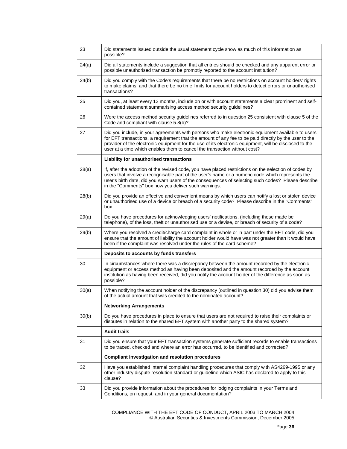| 23    | Did statements issued outside the usual statement cycle show as much of this information as<br>possible?                                                                                                                                                                                                                                                                                          |
|-------|---------------------------------------------------------------------------------------------------------------------------------------------------------------------------------------------------------------------------------------------------------------------------------------------------------------------------------------------------------------------------------------------------|
| 24(a) | Did all statements include a suggestion that all entries should be checked and any apparent error or<br>possible unauthorised transaction be promptly reported to the account institution?                                                                                                                                                                                                        |
| 24(b) | Did you comply with the Code's requirements that there be no restrictions on account holders' rights<br>to make claims, and that there be no time limits for account holders to detect errors or unauthorised<br>transactions?                                                                                                                                                                    |
| 25    | Did you, at least every 12 months, include on or with account statements a clear prominent and self-<br>contained statement summarising access method security guidelines?                                                                                                                                                                                                                        |
| 26    | Were the access method security guidelines referred to in question 25 consistent with clause 5 of the<br>Code and compliant with clause 5.8(b)?                                                                                                                                                                                                                                                   |
| 27    | Did you include, in your agreements with persons who make electronic equipment available to users<br>for EFT transactions, a requirement that the amount of any fee to be paid directly by the user to the<br>provider of the electronic equipment for the use of its electronic equipment, will be disclosed to the<br>user at a time which enables them to cancel the transaction without cost? |
|       | Liability for unauthorised transactions                                                                                                                                                                                                                                                                                                                                                           |
| 28(a) | If, after the adoption of the revised code, you have placed restrictions on the selection of codes by<br>users that involve a recognisable part of the user's name or a numeric code which represents the<br>user's birth date, did you warn users of the consequences of selecting such codes? Please describe<br>in the "Comments" box how you deliver such warnings.                           |
| 28(b) | Did you provide an effective and convenient means by which users can notify a lost or stolen device<br>or unauthorised use of a device or breach of a security code? Please describe in the "Comments"<br>box                                                                                                                                                                                     |
| 29(a) | Do you have procedures for acknowledging users' notifications, (including those made be<br>telephone), of the loss, theft or unauthorised use or a devise, or breach of security of a code?                                                                                                                                                                                                       |
| 29(b) | Where you resolved a credit/charge card complaint in whole or in part under the EFT code, did you<br>ensure that the amount of liability the account holder would have was not greater than it would have<br>been if the complaint was resolved under the rules of the card scheme?                                                                                                               |
|       | Deposits to accounts by funds transfers                                                                                                                                                                                                                                                                                                                                                           |
| 30    | In circumstances where there was a discrepancy between the amount recorded by the electronic<br>equipment or access method as having been deposited and the amount recorded by the account<br>institution as having been received, did you notify the account holder of the difference as soon as<br>possible?                                                                                    |
| 30(a) | When notifying the account holder of the discrepancy (outlined in question 30) did you advise them<br>of the actual amount that was credited to the nominated account?                                                                                                                                                                                                                            |
|       | <b>Networking Arrangements</b>                                                                                                                                                                                                                                                                                                                                                                    |
| 30(b) | Do you have procedures in place to ensure that users are not required to raise their complaints or<br>disputes in relation to the shared EFT system with another party to the shared system?                                                                                                                                                                                                      |
|       | <b>Audit trails</b>                                                                                                                                                                                                                                                                                                                                                                               |
| 31    | Did you ensure that your EFT transaction systems generate sufficient records to enable transactions<br>to be traced, checked and where an error has occurred, to be identified and corrected?                                                                                                                                                                                                     |
|       | <b>Compliant investigation and resolution procedures</b>                                                                                                                                                                                                                                                                                                                                          |
| 32    | Have you established internal complaint handling procedures that comply with AS4269-1995 or any<br>other industry dispute resolution standard or guideline which ASIC has declared to apply to this<br>clause?                                                                                                                                                                                    |
| 33    | Did you provide information about the procedures for lodging complaints in your Terms and<br>Conditions, on request, and in your general documentation?                                                                                                                                                                                                                                           |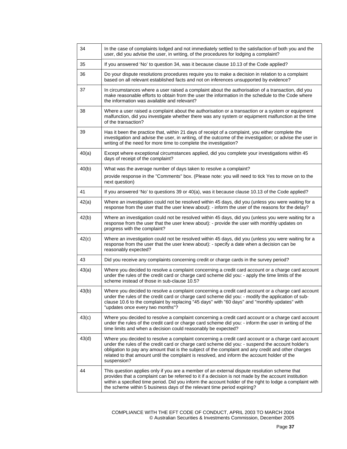| 34    | In the case of complaints lodged and not immediately settled to the satisfaction of both you and the<br>user, did you advise the user, in writing, of the procedures for lodging a complaint?                                                                                                                                                                                                                               |
|-------|-----------------------------------------------------------------------------------------------------------------------------------------------------------------------------------------------------------------------------------------------------------------------------------------------------------------------------------------------------------------------------------------------------------------------------|
| 35    | If you answered 'No' to question 34, was it because clause 10.13 of the Code applied?                                                                                                                                                                                                                                                                                                                                       |
| 36    | Do your dispute resolutions procedures require you to make a decision in relation to a complaint<br>based on all relevant established facts and not on inferences unsupported by evidence?                                                                                                                                                                                                                                  |
| 37    | In circumstances where a user raised a complaint about the authorisation of a transaction, did you<br>make reasonable efforts to obtain from the user the information in the schedule to the Code where<br>the information was available and relevant?                                                                                                                                                                      |
| 38    | Where a user raised a complaint about the authorisation or a transaction or a system or equipment<br>malfunction, did you investigate whether there was any system or equipment malfunction at the time<br>of the transaction?                                                                                                                                                                                              |
| 39    | Has it been the practice that, within 21 days of receipt of a complaint, you either complete the<br>investigation and advise the user, in writing, of the outcome of the investigation; or advise the user in<br>writing of the need for more time to complete the investigation?                                                                                                                                           |
| 40(a) | Except where exceptional circumstances applied, did you complete your investigations within 45<br>days of receipt of the complaint?                                                                                                                                                                                                                                                                                         |
| 40(b) | What was the average number of days taken to resolve a complaint?                                                                                                                                                                                                                                                                                                                                                           |
|       | provide response in the "Comments" box. (Please note: you will need to tick Yes to move on to the<br>next question)                                                                                                                                                                                                                                                                                                         |
| 41    | If you answered 'No' to questions 39 or 40(a), was it because clause 10.13 of the Code applied?                                                                                                                                                                                                                                                                                                                             |
| 42(a) | Where an investigation could not be resolved within 45 days, did you (unless you were waiting for a<br>response from the user that the user knew about): - inform the user of the reasons for the delay?                                                                                                                                                                                                                    |
| 42(b) | Where an investigation could not be resolved within 45 days, did you (unless you were waiting for a<br>response from the user that the user knew about): - provide the user with monthly updates on<br>progress with the complaint?                                                                                                                                                                                         |
| 42(c) | Where an investigation could not be resolved within 45 days, did you (unless you were waiting for a<br>response from the user that the user knew about): - specify a date when a decision can be<br>reasonably expected?                                                                                                                                                                                                    |
| 43    | Did you receive any complaints concerning credit or charge cards in the survey period?                                                                                                                                                                                                                                                                                                                                      |
| 43(a) | Where you decided to resolve a complaint concerning a credit card account or a charge card account<br>under the rules of the credit card or charge card scheme did you: - apply the time limits of the<br>scheme instead of those in sub-clause 10.5?                                                                                                                                                                       |
| 43(b) | Where you decided to resolve a complaint concerning a credit card account or a charge card account<br>under the rules of the credit card or charge card scheme did you: - modify the application of sub-<br>clause 10.6 to the complaint by replacing "45 days" with "60 days" and "monthly updates" with<br>"updates once every two months"?                                                                               |
| 43(c) | Where you decided to resolve a complaint concerning a credit card account or a charge card account<br>under the rules of the credit card or charge card scheme did you: - inform the user in writing of the<br>time limits and when a decision could reasonably be expected?                                                                                                                                                |
| 43(d) | Where you decided to resolve a complaint concerning a credit card account or a charge card account<br>under the rules of the credit card or charge card scheme did you: - suspend the account holder's<br>obligation to pay any amount that is the subject of the complaint and any credit and other charges<br>related to that amount until the complaint is resolved, and inform the account holder of the<br>suspension? |
| 44    | This question applies only if you are a member of an external dispute resolution scheme that<br>provides that a complaint can be referred to it if a decision is not made by the account institution<br>within a specified time period. Did you inform the account holder of the right to lodge a complaint with<br>the scheme within 5 business days of the relevant time period expiring?                                 |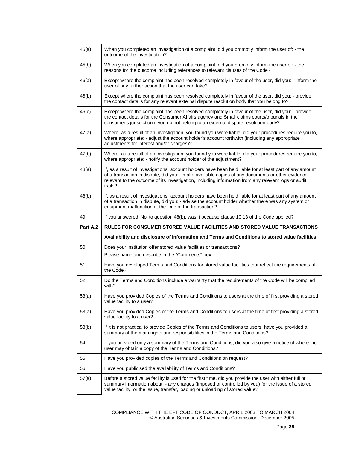| 45(a)    | When you completed an investigation of a complaint, did you promptly inform the user of: - the<br>outcome of the investigation?                                                                                                                                                                                                |
|----------|--------------------------------------------------------------------------------------------------------------------------------------------------------------------------------------------------------------------------------------------------------------------------------------------------------------------------------|
| 45(b)    | When you completed an investigation of a complaint, did you promptly inform the user of: - the<br>reasons for the outcome including references to relevant clauses of the Code?                                                                                                                                                |
| 46(a)    | Except where the complaint has been resolved completely in favour of the user, did you: - inform the<br>user of any further action that the user can take?                                                                                                                                                                     |
| 46(b)    | Except where the complaint has been resolved completely in favour of the user, did you: - provide<br>the contact details for any relevant external dispute resolution body that you belong to?                                                                                                                                 |
| 46(c)    | Except where the complaint has been resolved completely in favour of the user, did you: - provide<br>the contact details for the Consumer Affairs agency and Small claims courts/tribunals in the<br>consumer's jurisdiction if you do not belong to an external dispute resolution body?                                      |
| 47(a)    | Where, as a result of an investigation, you found you were liable, did your procedures require you to,<br>where appropriate: - adjust the account holder's account forthwith (including any appropriate<br>adjustments for interest and/or charges)?                                                                           |
| 47(b)    | Where, as a result of an investigation, you found you were liable, did your procedures require you to,<br>where appropriate: - notify the account holder of the adjustment?                                                                                                                                                    |
| 48(a)    | If, as a result of investigations, account holders have been held liable for at least part of any amount<br>of a transaction in dispute, did you: - make available copies of any documents or other evidence<br>relevant to the outcome of its investigation, including information from any relevant logs or audit<br>trails? |
| 48(b)    | If, as a result of investigations, account holders have been held liable for at least part of any amount<br>of a transaction in dispute, did you: - advise the account holder whether there was any system or<br>equipment malfunction at the time of the transaction?                                                         |
|          |                                                                                                                                                                                                                                                                                                                                |
| 49       | If you answered 'No' to question 48(b), was it because clause 10.13 of the Code applied?                                                                                                                                                                                                                                       |
| Part A.2 | RULES FOR CONSUMER STORED VALUE FACILITIES AND STORED VALUE TRANSACTIONS                                                                                                                                                                                                                                                       |
|          | Availability and disclosure of information and Terms and Conditions to stored value facilities                                                                                                                                                                                                                                 |
| 50       | Does your institution offer stored value facilities or transactions?                                                                                                                                                                                                                                                           |
|          | Please name and describe in the "Comments" box.                                                                                                                                                                                                                                                                                |
| 51       | Have you developed Terms and Conditions for stored value facilities that reflect the requirements of<br>the Code?                                                                                                                                                                                                              |
| 52       | Do the Terms and Conditions include a warranty that the requirements of the Code will be complied<br>with?                                                                                                                                                                                                                     |
| 53(a)    | Have you provided Copies of the Terms and Conditions to users at the time of first providing a stored<br>value facility to a user?                                                                                                                                                                                             |
| 53(a)    | Have you provided Copies of the Terms and Conditions to users at the time of first providing a stored<br>value facility to a user?                                                                                                                                                                                             |
| 53(b)    | If it is not practical to provide Copies of the Terms and Conditions to users, have you provided a<br>summary of the main rights and responsibilities in the Terms and Conditions?                                                                                                                                             |
| 54       | If you provided only a summary of the Terms and Conditions, did you also give a notice of where the<br>user may obtain a copy of the Terms and Conditions?                                                                                                                                                                     |
| 55       | Have you provided copies of the Terms and Conditions on request?                                                                                                                                                                                                                                                               |
| 56       | Have you publicised the availability of Terms and Conditions?                                                                                                                                                                                                                                                                  |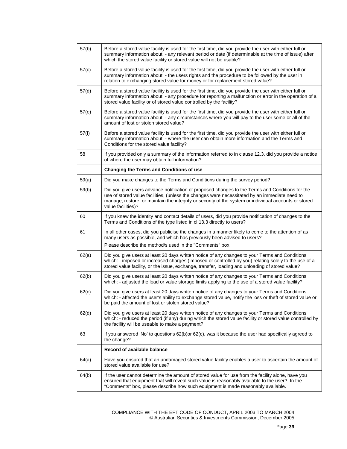| 57(b)             | Before a stored value facility is used for the first time, did you provide the user with either full or<br>summary information about: - any relevant period or date (if determinable at the time of issue) after<br>which the stored value facility or stored value will not be usable?                                         |
|-------------------|---------------------------------------------------------------------------------------------------------------------------------------------------------------------------------------------------------------------------------------------------------------------------------------------------------------------------------|
| 57(c)             | Before a stored value facility is used for the first time, did you provide the user with either full or<br>summary information about: - the users rights and the procedure to be followed by the user in<br>relation to exchanging stored value for money or for replacement stored value?                                      |
| 57 <sub>(d)</sub> | Before a stored value facility is used for the first time, did you provide the user with either full or<br>summary information about: - any procedure for reporting a malfunction or error in the operation of a<br>stored value facility or of stored value controlled by the facility?                                        |
| 57(e)             | Before a stored value facility is used for the first time, did you provide the user with either full or<br>summary information about: - any circumstances where you will pay to the user some or all of the<br>amount of lost or stolen stored value?                                                                           |
| 57(f)             | Before a stored value facility is used for the first time, did you provide the user with either full or<br>summary information about: - where the user can obtain more information and the Terms and<br>Conditions for the stored value facility?                                                                               |
| 58                | If you provided only a summary of the information referred to in clause 12.3, did you provide a notice<br>of where the user may obtain full information?                                                                                                                                                                        |
|                   | <b>Changing the Terms and Conditions of use</b>                                                                                                                                                                                                                                                                                 |
| 59(a)             | Did you make changes to the Terms and Conditions during the survey period?                                                                                                                                                                                                                                                      |
| 59(b)             | Did you give users advance notification of proposed changes to the Terms and Conditions for the<br>use of stored value facilities, (unless the changes were necessitated by an immediate need to<br>manage, restore, or maintain the integrity or security of the system or individual accounts or stored<br>value facilities)? |
| 60                | If you knew the identity and contact details of users, did you provide notification of changes to the<br>Terms and Conditions of the type listed in cl 13.3 directly to users?                                                                                                                                                  |
| 61                | In all other cases, did you publicise the changes in a manner likely to come to the attention of as<br>many users as possible, and which has previously been advised to users?<br>Please describe the method/s used in the "Comments" box.                                                                                      |
|                   |                                                                                                                                                                                                                                                                                                                                 |
| 62(a)             | Did you give users at least 20 days written notice of any changes to your Terms and Conditions<br>which: - imposed or increased charges (imposed or controlled by you) relating solely to the use of a<br>stored value facility, or the issue, exchange, transfer, loading and unloading of stored value?                       |
| 62(b)             | Did you give users at least 20 days written notice of any changes to your Terms and Conditions<br>which: - adjusted the load or value storage limits applying to the use of a stored value facility?                                                                                                                            |
| 62(c)             | Did you give users at least 20 days written notice of any changes to your Terms and Conditions<br>which: - affected the user's ability to exchange stored value, notify the loss or theft of stored value or<br>be paid the amount of lost or stolen stored value?                                                              |
| 62(d)             | Did you give users at least 20 days written notice of any changes to your Terms and Conditions<br>which: - reduced the period (if any) during which the stored value facility or stored value controlled by<br>the facility will be useable to make a payment?                                                                  |
| 63                | If you answered 'No' to questions 62(b)or 62(c), was it because the user had specifically agreed to<br>the change?                                                                                                                                                                                                              |
|                   | Record of available balance                                                                                                                                                                                                                                                                                                     |
| 64(a)             | Have you ensured that an undamaged stored value facility enables a user to ascertain the amount of<br>stored value available for use?                                                                                                                                                                                           |
| 64(b)             | If the user cannot determine the amount of stored value for use from the facility alone, have you<br>ensured that equipment that will reveal such value is reasonably available to the user? In the<br>"Comments" box, please describe how such equipment is made reasonably available.                                         |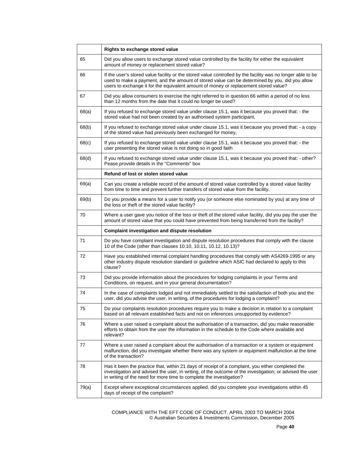|       | Rights to exchange stored value                                                                                                                                                                                                                                                                       |
|-------|-------------------------------------------------------------------------------------------------------------------------------------------------------------------------------------------------------------------------------------------------------------------------------------------------------|
| 65    | Did you allow users to exchange stored value controlled by the facility for either the equivalent<br>amount of money or replacement stored value?                                                                                                                                                     |
| 66    | If the user's stored value facility or the stored value controlled by the facility was no longer able to be<br>used to make a payment, and the amount of stored value can be determined by you, did you allow<br>users to exchange it for the equivalent amount of money or replacement stored value? |
| 67    | Did you allow consumers to exercise the right referred to in question 66 within a period of no less<br>than 12 months from the date that it could no longer be used?                                                                                                                                  |
| 68(a) | If you refused to exchange stored value under clause 15.1, was it because you proved that: - the<br>stored value had not been created by an authorised system participant,                                                                                                                            |
| 68(b) | If you refused to exchange stored value under clause 15.1, was it because you proved that: - a copy<br>of the stored value had previously been exchanged for money,                                                                                                                                   |
| 68(c) | If you refused to exchange stored value under clause 15.1, was it because you proved that: - the<br>user presenting the stored value is not doing so in good faith                                                                                                                                    |
| 68(d) | If you refused to exchange stored value under clause 15.1, was it because you proved that: - other?<br>Pease provide details in the "Comments" box                                                                                                                                                    |
|       | Refund of lost or stolen stored value                                                                                                                                                                                                                                                                 |
| 69(a) | Can you create a reliable record of the amount of stored value controlled by a stored value facility<br>from time to time and prevent further transfers of stored value from the facility.                                                                                                            |
| 69(b) | Do you provide a means for a user to notify you (or someone else nominated by you) at any time of<br>the loss or theft of the stored value facility?                                                                                                                                                  |
| 70    | Where a user gave you notice of the loss or theft of the stored value facility, did you pay the user the<br>amount of stored value that you could have prevented from being transferred from the facility?                                                                                            |
|       | <b>Complaint investigation and dispute resolution</b>                                                                                                                                                                                                                                                 |
| 71    | Do you have complaint investigation and dispute resolution procedures that comply with the clause<br>10 of the Code (other than clauses 10.10, 10.11, 10.12, 10.13)?                                                                                                                                  |
| 72    | Have you established internal complaint handling procedures that comply with AS4269-1995 or any<br>other industry dispute resolution standard or guideline which ASIC had declared to apply to this<br>clause?                                                                                        |
| 73    | Did you provide information about the procedures for lodging complaints in your Terms and<br>Conditions, on request, and in your general documentation?                                                                                                                                               |
| 74    | In the case of complaints lodged and not immediately settled to the satisfaction of both you and the<br>user, did you advise the user, in writing, of the procedures for lodging a complaint?                                                                                                         |
| 75    | Do your complaints resolution procedures require you to make a decision in relation to a complaint<br>based on all relevant established facts and not on inferences unsupported by evidence?                                                                                                          |
| 76    | Where a user raised a complaint about the authorisation of a transaction, did you make reasonable<br>efforts to obtain from the user the information in the schedule to the Code where available and<br>relevant?                                                                                     |
| 77    | Where a user raised a complaint about the authorisation of a transaction or a system or equipment<br>malfunction, did you investigate whether there was any system or equipment malfunction at the time<br>of the transaction?                                                                        |
| 78    | Has it been the practice that, within 21 days of receipt of a complaint, you either completed the<br>investigation and advised the user, in writing, of the outcome of the investigation; or advised the user<br>in writing of the need for more time to complete the investigation?                  |
| 79(a) | Except where exceptional circumstances applied, did you complete your investigations within 45<br>days of receipt of the complaint?                                                                                                                                                                   |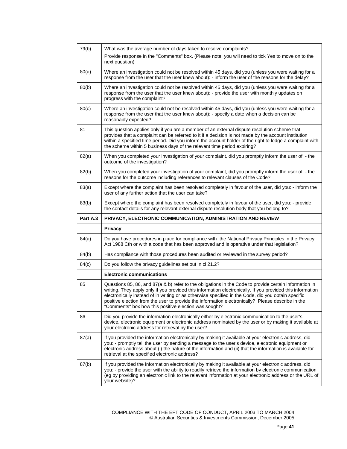| 79(b)    | What was the average number of days taken to resolve complaints?                                                                                                                                                                                                                                                                                                                                                                                                                          |
|----------|-------------------------------------------------------------------------------------------------------------------------------------------------------------------------------------------------------------------------------------------------------------------------------------------------------------------------------------------------------------------------------------------------------------------------------------------------------------------------------------------|
|          | Provide response in the "Comments" box. (Please note: you will need to tick Yes to move on to the<br>next question)                                                                                                                                                                                                                                                                                                                                                                       |
| 80(a)    | Where an investigation could not be resolved within 45 days, did you (unless you were waiting for a<br>response from the user that the user knew about): - inform the user of the reasons for the delay?                                                                                                                                                                                                                                                                                  |
| 80(b)    | Where an investigation could not be resolved within 45 days, did you (unless you were waiting for a<br>response from the user that the user knew about): - provide the user with monthly updates on<br>progress with the complaint?                                                                                                                                                                                                                                                       |
| 80(c)    | Where an investigation could not be resolved within 45 days, did you (unless you were waiting for a<br>response from the user that the user knew about): - specify a date when a decision can be<br>reasonably expected?                                                                                                                                                                                                                                                                  |
| 81       | This question applies only if you are a member of an external dispute resolution scheme that<br>provides that a complaint can be referred to it if a decision is not made by the account institution<br>within a specified time period. Did you inform the account holder of the right to lodge a complaint with<br>the scheme within 5 business days of the relevant time period expiring?                                                                                               |
| 82(a)    | When you completed your investigation of your complaint, did you promptly inform the user of: - the<br>outcome of the investigation?                                                                                                                                                                                                                                                                                                                                                      |
| 82(b)    | When you completed your investigation of your complaint, did you promptly inform the user of: - the<br>reasons for the outcome including references to relevant clauses of the Code?                                                                                                                                                                                                                                                                                                      |
| 83(a)    | Except where the complaint has been resolved completely in favour of the user, did you: - inform the<br>user of any further action that the user can take?                                                                                                                                                                                                                                                                                                                                |
| 83(b)    | Except where the complaint has been resolved completely in favour of the user, did you: - provide<br>the contact details for any relevant external dispute resolution body that you belong to?                                                                                                                                                                                                                                                                                            |
|          |                                                                                                                                                                                                                                                                                                                                                                                                                                                                                           |
| Part A.3 | PRIVACY, ELECTRONIC COMMUNICATION, ADMINISTRATION AND REVIEW                                                                                                                                                                                                                                                                                                                                                                                                                              |
|          | Privacy                                                                                                                                                                                                                                                                                                                                                                                                                                                                                   |
| 84(a)    | Do you have procedures in place for compliance with the National Privacy Principles in the Privacy<br>Act 1988 Cth or with a code that has been approved and is operative under that legislation?                                                                                                                                                                                                                                                                                         |
| 84(b)    | Has compliance with those procedures been audited or reviewed in the survey period?                                                                                                                                                                                                                                                                                                                                                                                                       |
| 84(c)    | Do you follow the privacy guidelines set out in cl 21.2?                                                                                                                                                                                                                                                                                                                                                                                                                                  |
|          | <b>Electronic communications</b>                                                                                                                                                                                                                                                                                                                                                                                                                                                          |
| 85       | Questions 85, 86, and 87(a & b) refer to the obligations in the Code to provide certain information in<br>writing. They apply only if you provided this information electronically. If you provided this information<br>electronically instead of in writing or as otherwise specified in the Code, did you obtain specific<br>positive election from the user to provide the information electronically? Please describe in the<br>"Comments" box how this positive election was sought? |
| 86       | Did you provide the information electronically either by electronic communication to the user's<br>device, electronic equipment or electronic address nominated by the user or by making it available at<br>your electronic address for retrieval by the user?                                                                                                                                                                                                                            |
| 87(a)    | If you provided the information electronically by making it available at your electronic address, did<br>you: - promptly tell the user by sending a message to the user's device, electronic equipment or<br>electronic address about (i) the nature of the information and (ii) that the information is available for<br>retrieval at the specified electronic address?                                                                                                                  |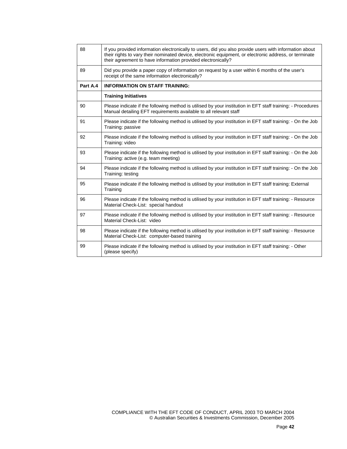| 88       | If you provided information electronically to users, did you also provide users with information about<br>their rights to vary their nominated device, electronic equipment, or electronic address, or terminate<br>their agreement to have information provided electronically? |
|----------|----------------------------------------------------------------------------------------------------------------------------------------------------------------------------------------------------------------------------------------------------------------------------------|
| 89       | Did you provide a paper copy of information on request by a user within 6 months of the user's<br>receipt of the same information electronically?                                                                                                                                |
| Part A.4 | <b>INFORMATION ON STAFF TRAINING:</b>                                                                                                                                                                                                                                            |
|          | <b>Training Initiatives</b>                                                                                                                                                                                                                                                      |
| 90       | Please indicate if the following method is utilised by your institution in EFT staff training: - Procedures<br>Manual detailing EFT requirements available to all relevant staff                                                                                                 |
| 91       | Please indicate if the following method is utilised by your institution in EFT staff training: - On the Job<br>Training: passive                                                                                                                                                 |
| 92       | Please indicate if the following method is utilised by your institution in EFT staff training: - On the Job<br>Training: video                                                                                                                                                   |
| 93       | Please indicate if the following method is utilised by your institution in EFT staff training: - On the Job<br>Training: active (e.g. team meeting)                                                                                                                              |
| 94       | Please indicate if the following method is utilised by your institution in EFT staff training: - On the Job<br>Training: testing                                                                                                                                                 |
| 95       | Please indicate if the following method is utilised by your institution in EFT staff training: External<br>Training                                                                                                                                                              |
| 96       | Please indicate if the following method is utilised by your institution in EFT staff training: - Resource<br>Material Check-List: special handout                                                                                                                                |
| 97       | Please indicate if the following method is utilised by your institution in EFT staff training: - Resource<br>Material Check-List: video                                                                                                                                          |
| 98       | Please indicate if the following method is utilised by your institution in EFT staff training: - Resource<br>Material Check-List: computer-based training                                                                                                                        |
| 99       | Please indicate if the following method is utilised by your institution in EFT staff training: - Other<br>(please specify)                                                                                                                                                       |